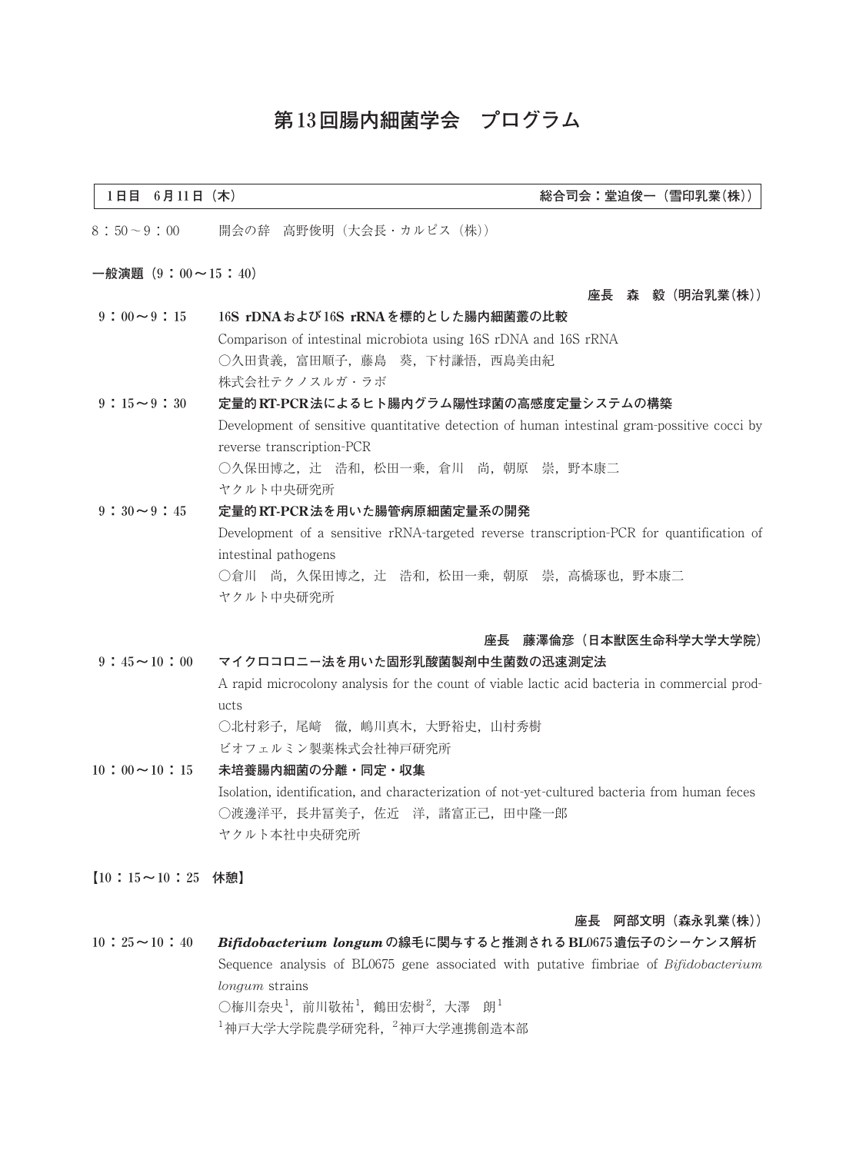# **第13回腸内細菌学会 プログラム**

#### **1日目 6月11日(木) 総合司会:堂迫俊一(雪印乳業(株))**

8:50~9:00 開会の辞 高野俊明(大会長・カルピス(株))

#### **一般演題(9:00~15:40)**

#### **座長 森 毅(明治乳業(株))**

- **9:00~9:15 16S rDNAおよび16S rRNAを標的とした腸内細菌叢の比較** Comparison of intestinal microbiota using 16S rDNA and 16S rRNA ○久田貴義,富田順子,藤島 葵,下村謙悟,西島美由紀 株式会社テクノスルガ・ラボ
- **9:15~9:30 定量的RT-PCR法によるヒト腸内グラム陽性球菌の高感度定量システムの構築** Development of sensitive quantitative detection of human intestinal gram-possitive cocci by reverse transcription-PCR ○久保田博之, 辻 浩和, 松田一乗, 倉川 尚, 朝原 崇, 野本康二 ヤクルト中央研究所
- **9:30~9:45 定量的RT-PCR法を用いた腸管病原細菌定量系の開発** Development of a sensitive rRNA-targeted reverse transcription-PCR for quantification of intestinal pathogens ○倉川 尚, 久保田博之, 辻 浩和, 松田一乗, 朝原 崇, 高橋琢也, 野本康二 ヤクルト中央研究所

## **座長 藤澤倫彦(日本獣医生命科学大学大学院)**

**9:45~10:00 マイクロコロニー法を用いた固形乳酸菌製剤中生菌数の迅速測定法**

A rapid microcolony analysis for the count of viable lactic acid bacteria in commercial products ○北村彩子,尾﨑 徹,嶋川真木,大野裕史,山村秀樹

ビオフェルミン製薬株式会社神戸研究所

- **10:00~10:15 未培養腸内細菌の分離・同定・収集** Isolation, identification, and characterization of not-yet-cultured bacteria from human feces ○渡邊洋平,長井冨美子,佐近 洋,諸富正己,田中隆一郎 ヤクルト本社中央研究所
- **【10:15~10:25 休憩】**

#### **座長 阿部文明(森永乳業(株))**

**10:25~10:40** *Bifidobacterium longum***の線毛に関与すると推測されるBL0675遺伝子のシーケンス解析** Sequence analysis of BL0675 gene associated with putative fimbriae of *Bifidobacterium longum* strains ○梅川奈央 $^1$ ,前川敬祐 $^1$ ,鶴田宏樹 $^2$ ,大澤 朗 $^1$  $^{-1}$ 神戸大学大学院農学研究科,  $^{-2}$ 神戸大学連携創造本部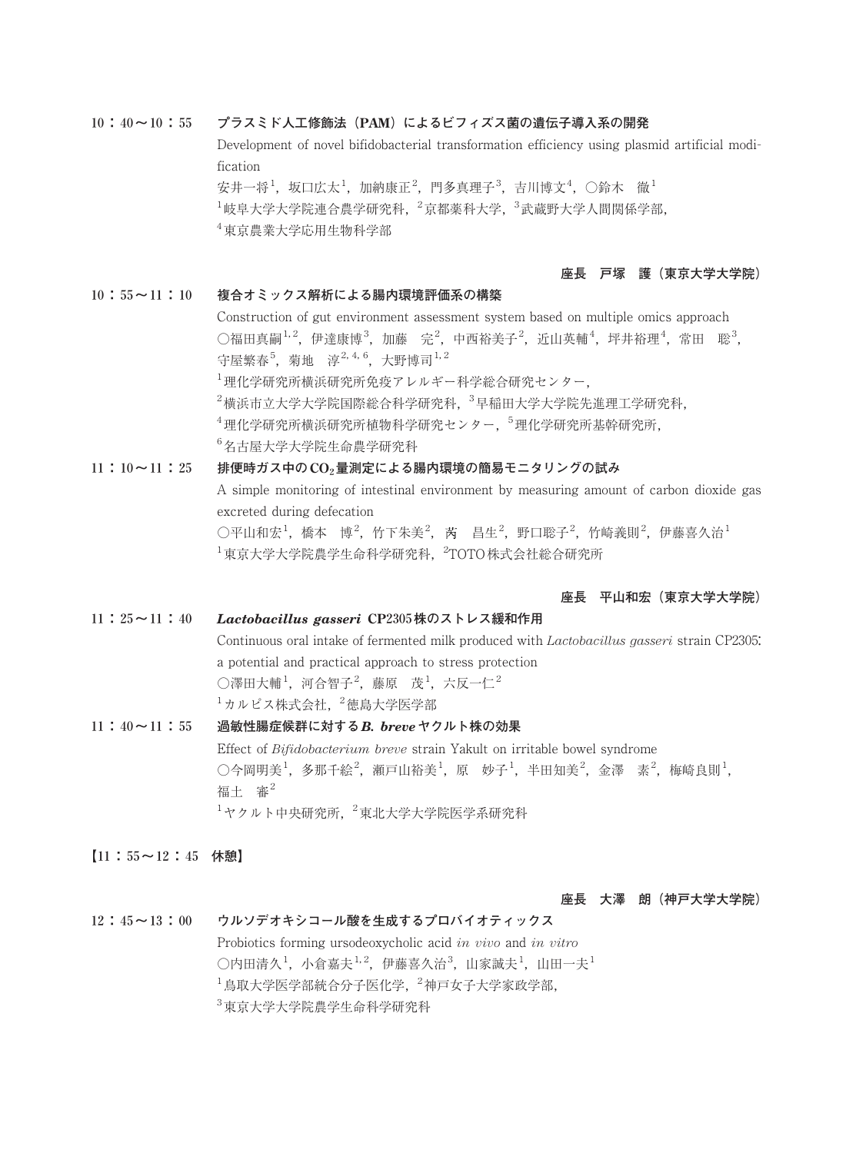### **10:40~10:55 プラスミド人工修飾法(PAM)によるビフィズス菌の遺伝子導入系の開発**

Development of novel bifidobacterial transformation efficiency using plasmid artificial modification

安井一将 $^1$ ,坂口広太 $^1$ ,加納康正 $^2$ ,門多真理子 $^3$ ,吉川博文 $^4$ ,〇鈴木 徹 $^1$  $^1$ 岐阜大学大学院連合農学研究科,  $^2$ 京都薬科大学,  $^3$ 武蔵野大学人間関係学部, 4 東京農業大学応用生物科学部

# **座長 戸塚 護(東京大学大学院)**

### **10:55~11:10 複合オミックス解析による腸内環境評価系の構築**

Construction of gut environment assessment system based on multiple omics approach ○福田真嗣 $^{1,2}$ ,伊達康博 $^3$ ,加藤 完 $^2$ ,中西裕美子 $^2$ ,近山英輔 $^4$ ,坪井裕理 $^4$ ,常田 聡 $^3$ , 守屋繁春<sup>5</sup>, 菊地 淳<sup>2, 4, 6</sup>, 大野博司<sup>1, 2</sup> 1 理化学研究所横浜研究所免疫アレルギー科学総合研究センター,

 $^2$ 横浜市立大学大学院国際総合科学研究科, $^3$ 早稲田大学大学院先進理工学研究科,

 $^4$ 理化学研究所横浜研究所植物科学研究センター,  $^5$ 理化学研究所基幹研究所,

6 名古屋大学大学院生命農学研究科

# **11:10~11:25 排便時ガス中のCO2量測定による腸内環境の簡易モニタリングの試み**

A simple monitoring of intestinal environment by measuring amount of carbon dioxide gas excreted during defecation ○平山和宏<sup>1</sup>,橋本 博<sup>2</sup>,竹下朱美<sup>2</sup>,芮 昌生<sup>2</sup>,野口聡子<sup>2</sup>,竹崎義則<sup>2</sup>,伊藤喜久治<sup>1</sup>

 $^1$ 東京大学大学院農学生命科学研究科, $\ ^2$ TOTO株式会社総合研究所

# **座長 平山和宏(東京大学大学院)**

# **11:25~11:40** *Lactobacillus gasseri* **CP2305株のストレス緩和作用**

Continuous oral intake of fermented milk produced with *Lactobacillus gasseri* strain CP2305: a potential and practical approach to stress protection  $\bigcirc$ 澤田大輔 $^1$ ,河合智子 $^2$ ,藤原 茂 $^1$ ,六反一仁 $^2$  $^{-1}$ カルピス株式会社,  $^{-2}$ 徳島大学医学部

# **11:40~11:55 過敏性腸症候群に対する***B. breve***ヤクルト株の効果** Effect of *Bifidobacterium breve* strain Yakult on irritable bowel syndrome ○今岡明美<sup>1</sup>,多那千絵<sup>2</sup>,瀬戸山裕美<sup>1</sup>,原 妙子<sup>1</sup>,半田知美<sup>2</sup>,金澤 素<sup>2</sup>,梅崎良則<sup>1</sup>, 福士 審 $2$  $1$ ヤクルト中央研究所,  $^2$ 東北大学大学院医学系研究科

**【11:55~12:45 休憩】**

### **座長 大澤 朗(神戸大学大学院)**

# **12:45~13:00 ウルソデオキシコール酸を生成するプロバイオティックス** Probiotics forming ursodeoxycholic acid *in vivo* and *in vitro* ○内田清久<sup>1</sup>,小倉嘉夫<sup>1,2</sup>,伊藤喜久治<sup>3</sup>,山家誠夫<sup>1</sup>,山田一夫<sup>1</sup>  $^1$ 鳥取大学医学部統合分子医化学, $^2$ 神戸女子大学家政学部,

3 東京大学大学院農学生命科学研究科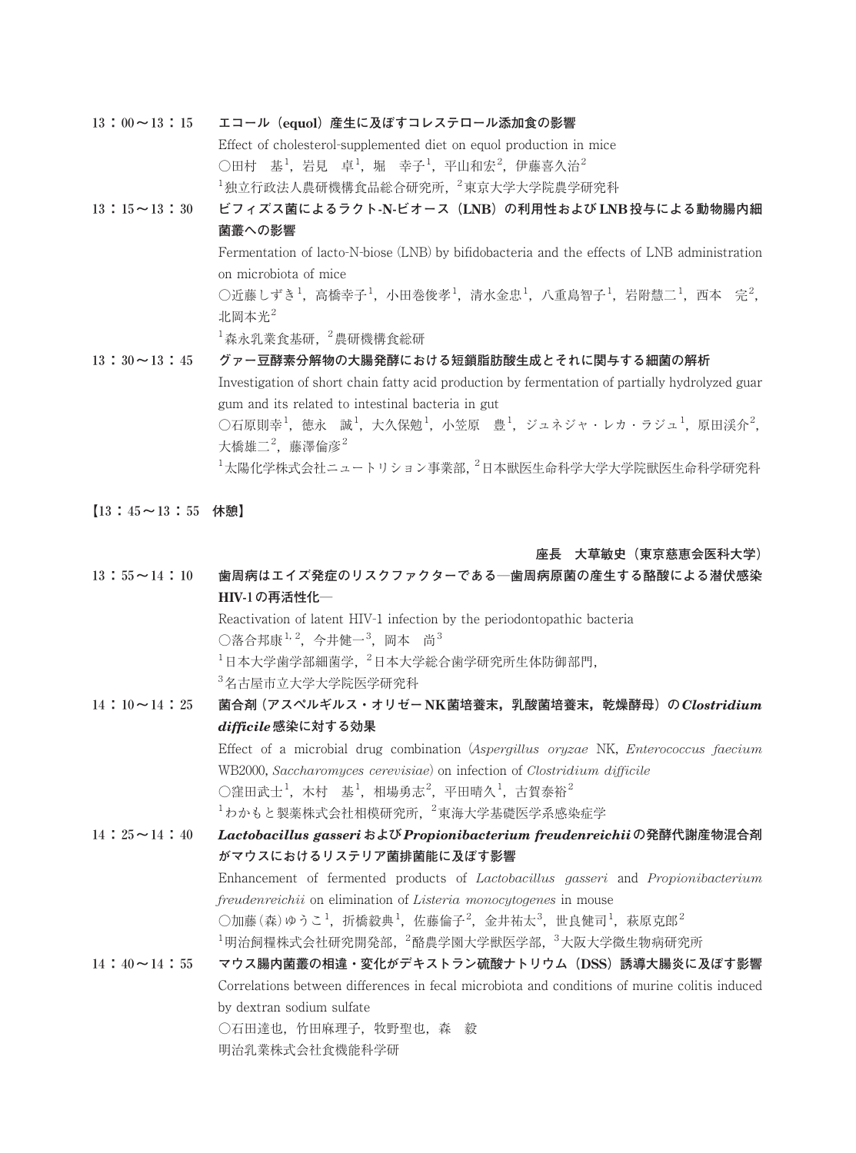**13:00~13:15 エコール(equol)産生に及ぼすコレステロール添加食の影響** Effect of cholesterol-supplemented diet on equol production in mice ○田村 基<sup>1</sup>,岩見 卓<sup>1</sup>,堀 幸子<sup>1</sup>,平山和宏<sup>2</sup>,伊藤喜久治<sup>2</sup>  $^1$ 独立行政法人農研機構食品総合研究所,  $^2$ 東京大学大学院農学研究科 **13:15~13:30 ビフィズス菌によるラクト-N-ビオース(LNB)の利用性および LNB投与による動物腸内細 菌叢への影響** Fermentation of lacto-N-biose (LNB) by bifidobacteria and the effects of LNB administration on microbiota of mice  $\bigcirc$ 近藤しずき<sup>1</sup>,高橋幸子<sup>1</sup>,小田巻俊孝<sup>1</sup>,清水金忠<sup>1</sup>,八重島智子<sup>1</sup>,岩附慧二<sup>1</sup>,西本 完<sup>2</sup>, 北岡本光 $2$  $^{-1}$ 森永乳業食基研,  $^{-2}$ 農研機構食総研 **13:30~13:45 グァー豆酵素分解物の大腸発酵における短鎖脂肪酸生成とそれに関与する細菌の解析** Investigation of short chain fatty acid production by fermentation of partially hydrolyzed guar gum and its related to intestinal bacteria in gut  $\bigcirc$ 石原則幸 $^1$ , 徳永 誠 $^1$ , 大久保勉 $^1$ , 小笠原 豊 $^1$ , ジュネジャ・レカ・ラジュ $^1$ , 原田渓介 $^2$ , 大橋雄二<sup>2</sup>,藤澤倫彦<sup>2</sup>

 $^1$ 太陽化学株式会社ニュートリション事業部,  $^2$ 日本獣医生命科学大学大学院獣医生命科学研究科

**【13:45~13:55 休憩】**

### **座長 大草敏史(東京慈恵会医科大学)**

| $13:55 \sim 14:10$ | 歯周病はエイズ発症のリスクファクターである─歯周病原菌の産生する酪酸による潜伏感染                                                                                  |
|--------------------|----------------------------------------------------------------------------------------------------------------------------|
|                    | HIV-1の再活性化–                                                                                                                |
|                    | Reactivation of latent HIV-1 infection by the periodontopathic bacteria                                                    |
|                    | ○落合邦康 <sup>1, 2</sup> , 今井健一 <sup>3</sup> , 岡本 尚 <sup>3</sup>                                                              |
|                    | $^{-1}$ 日本大学歯学部細菌学, $^{-2}$ 日本大学総合歯学研究所生体防御部門,                                                                             |
|                    | <sup>3</sup> 名古屋市立大学大学院医学研究科                                                                                               |
| $14:10 \sim 14:25$ | 菌合剤(アスペルギルス・オリゼーNK菌培養末,乳酸菌培養末,乾燥酵母)の Clostridium                                                                           |
|                    | difficile 感染に対する効果                                                                                                         |
|                    | Effect of a microbial drug combination (Aspergillus oryzae NK, Enterococcus faecium                                        |
|                    | WB2000, Saccharomyces cerevisiae) on infection of Clostridium difficile                                                    |
|                    | ○窪田武士 <sup>1</sup> , 木村 基 <sup>1</sup> , 相場勇志 <sup>2</sup> , 平田晴久 <sup>1</sup> , 古賀泰裕 <sup>2</sup>                         |
|                    | <sup>1</sup> わかもと製薬株式会社相模研究所, <sup>2</sup> 東海大学基礎医学系感染症学                                                                   |
| $14:25 \sim 14:40$ | Lactobacillus gasseriおよび Propionibacterium freudenreichiiの発酵代謝産物混合剤                                                        |
|                    | がマウスにおけるリステリア菌排菌能に及ぼす影響                                                                                                    |
|                    | Enhancement of fermented products of <i>Lactobacillus gasseri</i> and <i>Propionibacterium</i>                             |
|                    | freudenreichii on elimination of Listeria monocytogenes in mouse                                                           |
|                    | ○加藤(森)ゆうこ <sup>1</sup> , 折橋毅典 <sup>1</sup> , 佐藤倫子 <sup>2</sup> , 金井祐太 <sup>3</sup> , 世良健司 <sup>1</sup> , 萩原克郎 <sup>2</sup> |
|                    | $^{-1}$ 明治飼糧株式会社研究開発部, $^{-2}$ 酪農学園大学獣医学部, $^{-3}$ 大阪大学微生物病研究所                                                             |
| $14:40 \sim 14:55$ | マウス腸内菌叢の相違・変化がデキストラン硫酸ナトリウム (DSS) 誘導大腸炎に及ぼす影響                                                                              |
|                    | Correlations between differences in fecal microbiota and conditions of murine colitis induced                              |
|                    | by dextran sodium sulfate                                                                                                  |
|                    | ○石田達也,竹田麻理子,牧野聖也,森 毅                                                                                                       |
|                    | 明治乳業株式会社食機能科学研                                                                                                             |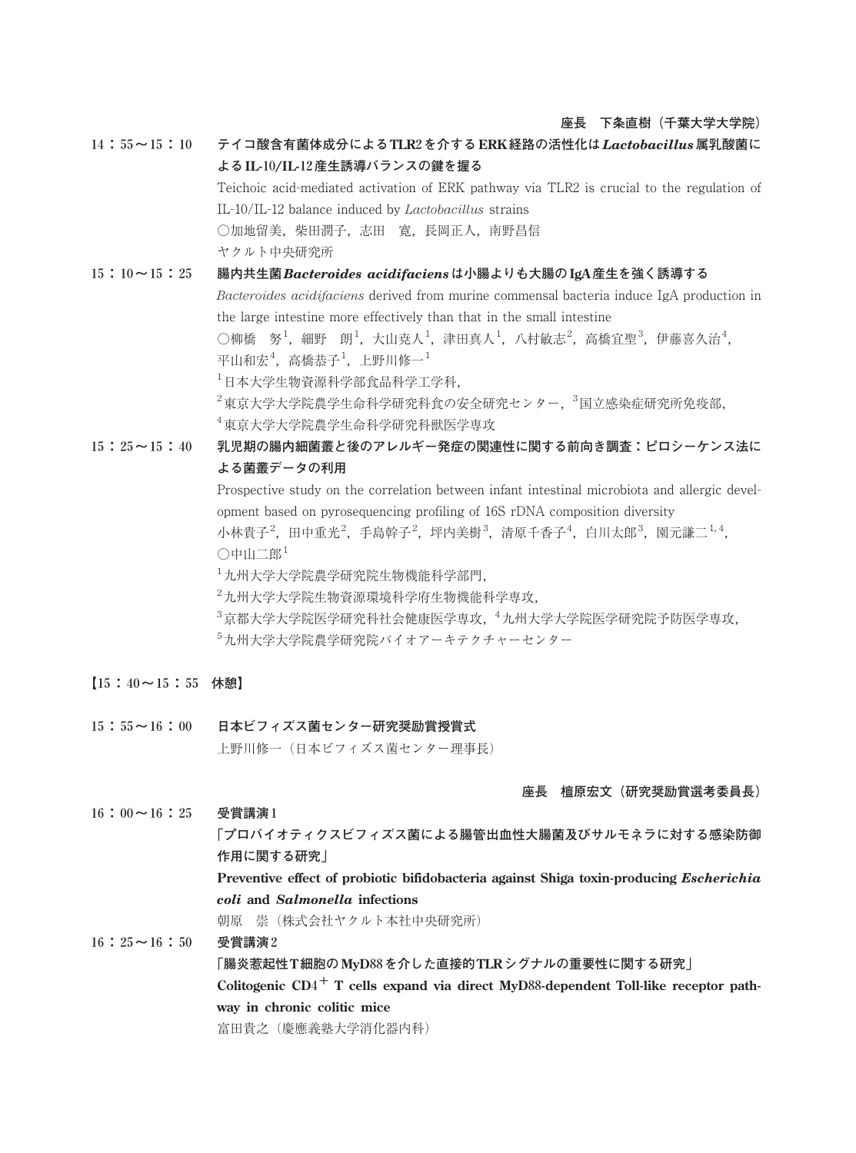## **座長 下条直樹(千葉大学大学院)**

**14:55~15:10 テイコ酸含有菌体成分によるTLR2を介する ERK経路の活性化は***Lactobacillus***属乳酸菌に よるIL-10/IL-12産生誘導バランスの鍵を握る** Teichoic acid-mediated activation of ERK pathway via TLR2 is crucial to the regulation of IL-10/IL-12 balance induced by *Lactobacillus* strains ○加地留美,柴田潤子,志田 寛,長岡正人,南野昌信 ヤクルト中央研究所 **15:10~15:25 腸内共生菌***Bacteroides acidifaciens***は小腸よりも大腸のIgA産生を強く誘導する**

*Bacteroides acidifaciens* derived from murine commensal bacteria induce IgA production in the large intestine more effectively than that in the small intestine ○柳橋 努<sup>1</sup>,細野 朗<sup>1</sup>,大山尭人<sup>1</sup>,津田真人<sup>1</sup>,八村敏志<sup>2</sup>,高橋宜聖<sup>3</sup>,伊藤喜久治<sup>4</sup>, 平山和宏<sup>4</sup>,高橋恭子<sup>1</sup>,上野川修一<sup>1</sup> 1 日本大学生物資源科学部食品科学工学科,

 $^2$ 東京大学大学院農学生命科学研究科食の安全研究センター, $^3$ 国立感染症研究所免疫部,

4 東京大学大学院農学生命科学研究科獣医学専攻

**15:25~15:40 乳児期の腸内細菌叢と後のアレルギー発症の関連性に関する前向き調査:ピロシーケンス法に よる菌叢データの利用**

> Prospective study on the correlation between infant intestinal microbiota and allergic development based on pyrosequencing profiling of 16S rDNA composition diversity 小林貴子 $^2$ ,田中重光 $^2$ ,手島幹子 $^2$ ,坪内美樹 $^3$ ,清原千香子 $^4$ ,白川太郎 $^3$ ,園元謙二 $^{1,4}$ , ○中山二郎<sup>1</sup>

1 九州大学大学院農学研究院生物機能科学部門,

2 九州大学大学院生物資源環境科学府生物機能科学専攻,

- $^3$ 京都大学大学院医学研究科社会健康医学専攻, $^4$ 九州大学大学院医学研究院予防医学専攻,
- 5 九州大学大学院農学研究院バイオアーキテクチャーセンター
- **【15:40~15:55 休憩】**
- **15:55~16:00 日本ビフィズス菌センター研究奨励賞授賞式** 上野川修一(日本ビフィズス菌センター理事長)

#### **座長 檀原宏文(研究奨励賞選考委員長)**

**16:00~16:25 受賞講演1**

**「プロバイオティクスビフィズス菌による腸管出血性大腸菌及びサルモネラに対する感染防御 作用に関する研究」**

**Preventive effect of probiotic bifidobacteria against Shiga toxin-producing** *Escherichia coli* **and** *Salmonella* **infections**

朝原 崇(株式会社ヤクルト本社中央研究所)

**16:25~16:50 受賞講演2 「腸炎惹起性T細胞のMyD88を介した直接的TLRシグナルの重要性に関する研究」 Colitogenic CD4<sup>+</sup> T cells expand via direct MyD88-dependent Toll-like receptor pathway in chronic colitic mice** 富田貴之(慶應義塾大学消化器内科)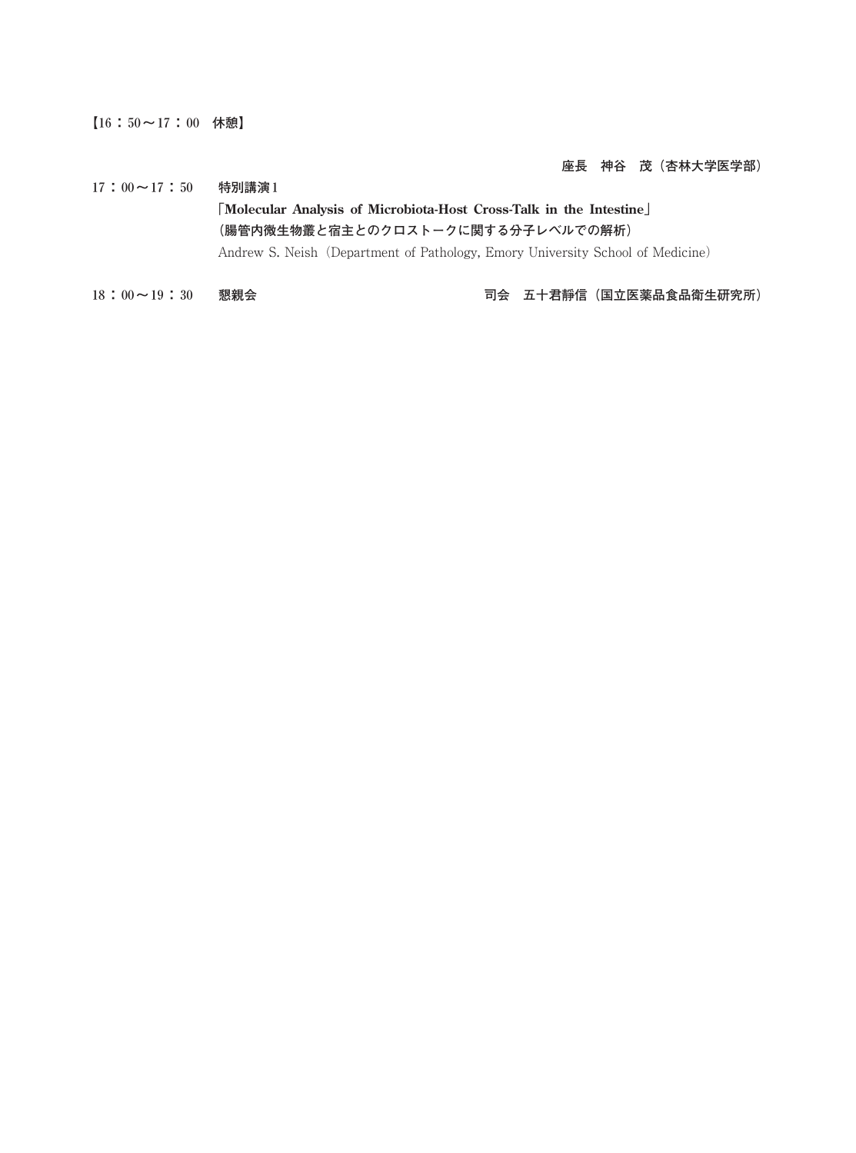**【16:50~17:00 休憩】**

**座長 神谷 茂(杏林大学医学部)**

- **17:00~17:50 特別講演1 「Molecular Analysis of Microbiota-Host Cross-Talk in the Intestine」 (腸管内微生物叢と宿主とのクロストークに関する分子レベルでの解析)** Andrew S. Neish (Department of Pathology, Emory University School of Medicine)
- **18:00~19:30 懇親会 司会 五十君靜信(国立医薬品食品衛生研究所)**